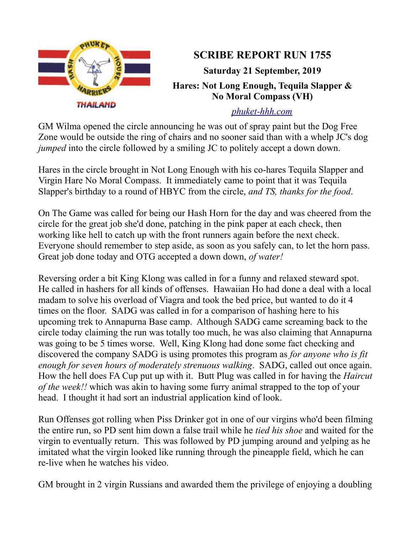

**SCRIBE REPORT RUN 1755 Saturday 21 September, 2019 Hares: Not Long Enough, Tequila Slapper & No Moral Compass (VH)**

## *[phuket-hhh.com](http://phuket-hhh.com/)*

GM Wilma opened the circle announcing he was out of spray paint but the Dog Free Zone would be outside the ring of chairs and no sooner said than with a whelp JC's dog *jumped* into the circle followed by a smiling JC to politely accept a down down.

Hares in the circle brought in Not Long Enough with his co-hares Tequila Slapper and Virgin Hare No Moral Compass. It immediately came to point that it was Tequila Slapper's birthday to a round of HBYC from the circle, *and TS, thanks for the food*.

On The Game was called for being our Hash Horn for the day and was cheered from the circle for the great job she'd done, patching in the pink paper at each check, then working like hell to catch up with the front runners again before the next check. Everyone should remember to step aside, as soon as you safely can, to let the horn pass. Great job done today and OTG accepted a down down, *of water!*

Reversing order a bit King Klong was called in for a funny and relaxed steward spot. He called in hashers for all kinds of offenses. Hawaiian Ho had done a deal with a local madam to solve his overload of Viagra and took the bed price, but wanted to do it 4 times on the floor. SADG was called in for a comparison of hashing here to his upcoming trek to Annapurna Base camp. Although SADG came screaming back to the circle today claiming the run was totally too much, he was also claiming that Annapurna was going to be 5 times worse. Well, King Klong had done some fact checking and discovered the company SADG is using promotes this program as *for anyone who is fit enough for seven hours of moderately strenuous walking*. SADG, called out once again. How the hell does FA Cup put up with it. Butt Plug was called in for having the *Haircut of the week!!* which was akin to having some furry animal strapped to the top of your head. I thought it had sort an industrial application kind of look.

Run Offenses got rolling when Piss Drinker got in one of our virgins who'd been filming the entire run, so PD sent him down a false trail while he *tied his shoe* and waited for the virgin to eventually return. This was followed by PD jumping around and yelping as he imitated what the virgin looked like running through the pineapple field, which he can re-live when he watches his video.

GM brought in 2 virgin Russians and awarded them the privilege of enjoying a doubling